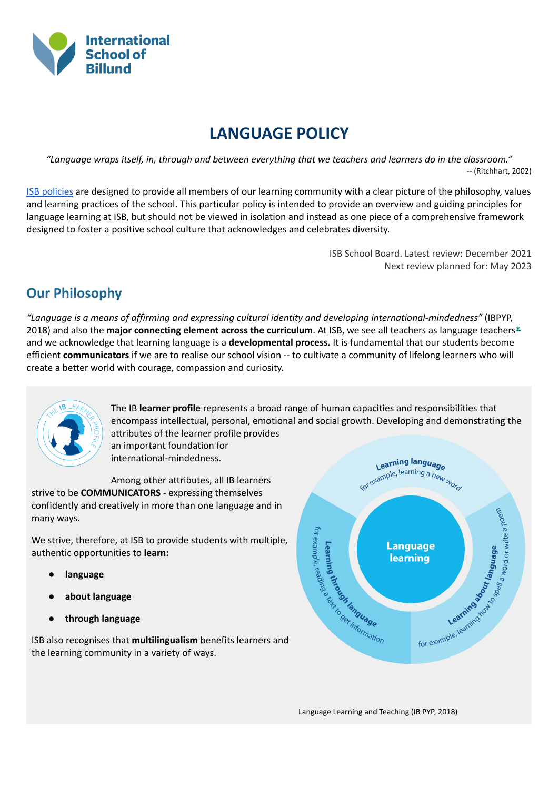

# **LANGUAGE POLICY**

"Language wraps itself, in, through and between everything that we teachers and learners do in the classroom." -- (Ritchhart, 2002)

ISB [policies](https://isbillund.com/life-isb/policies/) are designed to provide all members of our learning community with a clear picture of the philosophy, values and learning practices of the school. This particular policy is intended to provide an overview and guiding principles for language learning at ISB, but should not be viewed in isolation and instead as one piece of a comprehensive framework designed to foster a positive school culture that acknowledges and celebrates diversity.

> ISB School Board. Latest review: December 2021 Next review planned for: May 2023

## **Our Philosophy**

*"Language is a means of affirming and expressing cultural identity and developing international-mindedness"* (IBPYP, 2018) and also the **major connecting element across the curriculum**. At ISB, we see all teachers as language teachers\* and we acknowledge that learning language is a **developmental process.** It is fundamental that our students become efficient **communicators** if we are to realise our school vision -- to cultivate a community of lifelong learners who will create a better world with courage, compassion and curiosity.



The IB **learner profile** represents a broad range of human capacities and responsibilities that encompass intellectual, personal, emotional and social growth. Developing and demonstrating the attributes of the learner profile provides an important foundation for international-mindedness.

Among other attributes, all IB learners strive to be **COMMUNICATORS** - expressing themselves confidently and creatively in more than one language and in many ways.

We strive, therefore, at ISB to provide students with multiple, authentic opportunities to **learn:**

- **language**
- **about language**
- **through language**

ISB also recognises that **multilingualism** benefits learners and the learning community in a variety of ways.



Language Learning and Teaching (IB PYP, 2018)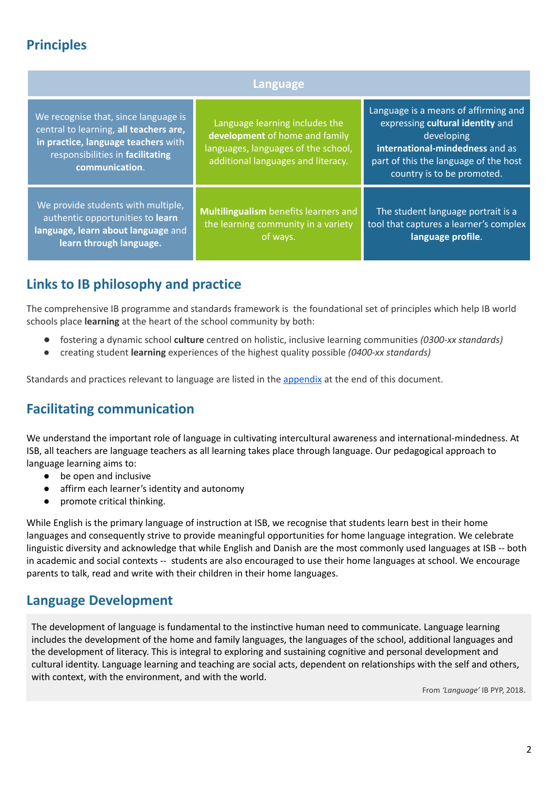# **Principles**

| Language                                                                                                                                                                    |                                                                                                                                               |                                                                                                                                                                                                  |  |
|-----------------------------------------------------------------------------------------------------------------------------------------------------------------------------|-----------------------------------------------------------------------------------------------------------------------------------------------|--------------------------------------------------------------------------------------------------------------------------------------------------------------------------------------------------|--|
| We recognise that, since language is<br>central to learning, all teachers are,<br>in practice, language teachers with<br>responsibilities in facilitating<br>communication. | Language learning includes the<br>development of home and family<br>languages, languages of the school,<br>additional languages and literacy. | Language is a means of affirming and<br>expressing cultural identity and<br>developing<br>international-mindedness and as<br>part of this the language of the host<br>country is to be promoted. |  |
| We provide students with multiple,<br>authentic opportunities to learn<br>language, learn about language and<br>learn through language.                                     | Multilingualism benefits learners and<br>the learning community in a variety<br>of ways.                                                      | The student language portrait is a<br>tool that captures a learner's complex<br>language profile.                                                                                                |  |

## **Links to IB philosophy and practice**

The comprehensive IB programme and standards framework is the foundational set of principles which help IB world schools place **learning** at the heart of the school community by both:

- fostering a dynamic school **culture** centred on holistic, inclusive learning communities *(0300-xx standards)*
- creating student **learning** experiences of the highest quality possible *(0400-xx standards)*

Standards and practices relevant to language are listed in the [appendix](#page-5-0) at the end of this document.

## **Facilitating communication**

We understand the important role of language in cultivating intercultural awareness and international-mindedness. At ISB, all teachers are language teachers as all learning takes place through language. Our pedagogical approach to language learning aims to:

- be open and inclusive
- affirm each learner's identity and autonomy
- promote critical thinking.

While English is the primary language of instruction at ISB, we recognise that students learn best in their home languages and consequently strive to provide meaningful opportunities for home language integration. We celebrate linguistic diversity and acknowledge that while English and Danish are the most commonly used languages at ISB -- both in academic and social contexts -- students are also encouraged to use their home languages at school. We encourage parents to talk, read and write with their children in their home languages.

## **Language Development**

The development of language is fundamental to the instinctive human need to communicate. Language learning includes the development of the home and family languages, the languages of the school, additional languages and the development of literacy. This is integral to exploring and sustaining cognitive and personal development and cultural identity. Language learning and teaching are social acts, dependent on relationships with the self and others, with context, with the environment, and with the world.

From *'Language'* IB PYP, 2018.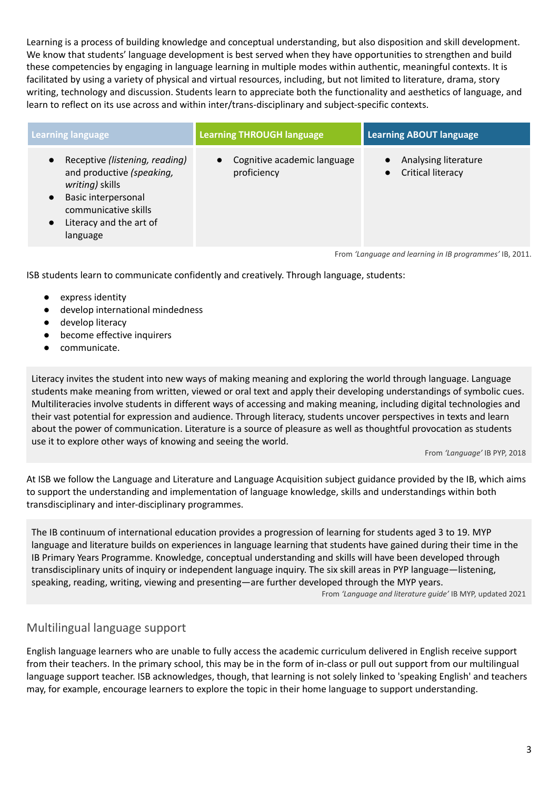Learning is a process of building knowledge and conceptual understanding, but also disposition and skill development. We know that students' language development is best served when they have opportunities to strengthen and build these competencies by engaging in language learning in multiple modes within authentic, meaningful contexts. It is facilitated by using a variety of physical and virtual resources, including, but not limited to literature, drama, story writing, technology and discussion. Students learn to appreciate both the functionality and aesthetics of language, and learn to reflect on its use across and within inter/trans-disciplinary and subject-specific contexts.

| <b>Learning language</b>                                                                                                                                                                                    | <b>Learning THROUGH language</b>           | <b>Learning ABOUT language</b>                                |
|-------------------------------------------------------------------------------------------------------------------------------------------------------------------------------------------------------------|--------------------------------------------|---------------------------------------------------------------|
| Receptive (listening, reading)<br>$\bullet$<br>and productive (speaking,<br>writing) skills<br>Basic interpersonal<br>$\bullet$<br>communicative skills<br>Literacy and the art of<br>$\bullet$<br>language | Cognitive academic language<br>proficiency | Analysing literature<br><b>Critical literacy</b><br>$\bullet$ |
|                                                                                                                                                                                                             |                                            | From 'Language and learning in IB programmes' IB, 2011.       |

ISB students learn to communicate confidently and creatively. Through language, students:

- express identity
- develop international mindedness
- develop literacy
- become effective inquirers
- communicate.

Literacy invites the student into new ways of making meaning and exploring the world through language. Language students make meaning from written, viewed or oral text and apply their developing understandings of symbolic cues. Multiliteracies involve students in different ways of accessing and making meaning, including digital technologies and their vast potential for expression and audience. Through literacy, students uncover perspectives in texts and learn about the power of communication. Literature is a source of pleasure as well as thoughtful provocation as students use it to explore other ways of knowing and seeing the world.

From *'Language'* IB PYP, 2018

At ISB we follow the Language and Literature and Language Acquisition subject guidance provided by the IB, which aims to support the understanding and implementation of language knowledge, skills and understandings within both transdisciplinary and inter-disciplinary programmes.

The IB continuum of international education provides a progression of learning for students aged 3 to 19. MYP language and literature builds on experiences in language learning that students have gained during their time in the IB Primary Years Programme. Knowledge, conceptual understanding and skills will have been developed through transdisciplinary units of inquiry or independent language inquiry. The six skill areas in PYP language—listening, speaking, reading, writing, viewing and presenting—are further developed through the MYP years.

From *'Language and literature guide'* IB MYP, updated 2021

### Multilingual language support

English language learners who are unable to fully access the academic curriculum delivered in English receive support from their teachers. In the primary school, this may be in the form of in-class or pull out support from our multilingual language support teacher. ISB acknowledges, though, that learning is not solely linked to 'speaking English' and teachers may, for example, encourage learners to explore the topic in their home language to support understanding.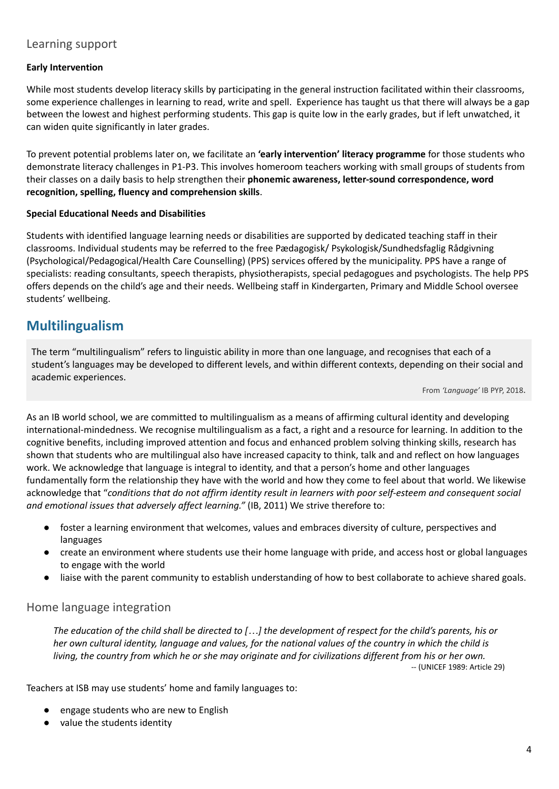### Learning support

#### **Early Intervention**

While most students develop literacy skills by participating in the general instruction facilitated within their classrooms, some experience challenges in learning to read, write and spell. Experience has taught us that there will always be a gap between the lowest and highest performing students. This gap is quite low in the early grades, but if left unwatched, it can widen quite significantly in later grades.

To prevent potential problems later on, we facilitate an **'early intervention' literacy programme** for those students who demonstrate literacy challenges in P1-P3. This involves homeroom teachers working with small groups of students from their classes on a daily basis to help strengthen their **phonemic awareness, letter-sound correspondence, word recognition, spelling, fluency and comprehension skills**.

#### **Special Educational Needs and Disabilities**

Students with identified language learning needs or disabilities are supported by dedicated teaching staff in their classrooms. Individual students may be referred to the free Pædagogisk/ Psykologisk/Sundhedsfaglig Rådgivning (Psychological/Pedagogical/Health Care Counselling) (PPS) services offered by the municipality. PPS have a range of specialists: reading consultants, speech therapists, physiotherapists, special pedagogues and psychologists. The help PPS offers depends on the child's age and their needs. Wellbeing staff in Kindergarten, Primary and Middle School oversee students' wellbeing.

## **Multilingualism**

The term "multilingualism" refers to linguistic ability in more than one language, and recognises that each of a student's languages may be developed to different levels, and within different contexts, depending on their social and academic experiences.

From *'Language'* IB PYP, 2018.

As an IB world school, we are committed to multilingualism as a means of affirming cultural identity and developing international-mindedness. We recognise multilingualism as a fact, a right and a resource for learning. In addition to the cognitive benefits, including improved attention and focus and enhanced problem solving thinking skills, research has shown that students who are multilingual also have increased capacity to think, talk and and reflect on how languages work. We acknowledge that language is integral to identity, and that a person's home and other languages fundamentally form the relationship they have with the world and how they come to feel about that world. We likewise acknowledge that "*conditions that do not affirm identity result in learners with poor self-esteem and consequent social and emotional issues that adversely affect learning."* (IB, 2011) We strive therefore to:

- foster a learning environment that welcomes, values and embraces diversity of culture, perspectives and languages
- create an environment where students use their home language with pride, and access host or global languages to engage with the world
- liaise with the parent community to establish understanding of how to best collaborate to achieve shared goals.

### Home language integration

The education of the child shall be directed to [...] the development of respect for the child's parents, his or her own cultural identity, language and values, for the national values of the country in which the child is living, the country from which he or she may originate and for civilizations different from his or her own.

-- (UNICEF 1989: Article 29)

Teachers at ISB may use students' home and family languages to:

- engage students who are new to English
- value the students identity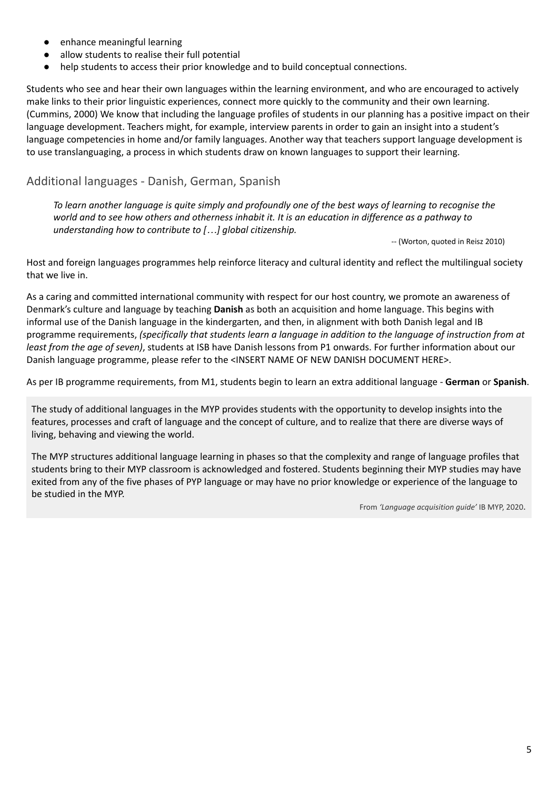- enhance meaningful learning
- allow students to realise their full potential
- help students to access their prior knowledge and to build conceptual connections.

Students who see and hear their own languages within the learning environment, and who are encouraged to actively make links to their prior linguistic experiences, connect more quickly to the community and their own learning. (Cummins, 2000) We know that including the language profiles of students in our planning has a positive impact on their language development. Teachers might, for example, interview parents in order to gain an insight into a student's language competencies in home and/or family languages. Another way that teachers support language development is to use translanguaging, a process in which students draw on known languages to support their learning.

## Additional languages - Danish, German, Spanish

To learn another language is guite simply and profoundly one of the best ways of learning to recognise the world and to see how others and otherness inhabit it. It is an education in difference as a pathway to *understanding how to contribute to […] global citizenship.*

-- (Worton, quoted in Reisz 2010)

Host and foreign languages programmes help reinforce literacy and cultural identity and reflect the multilingual society that we live in.

As a caring and committed international community with respect for our host country, we promote an awareness of Denmark's culture and language by teaching **Danish** as both an acquisition and home language. This begins with informal use of the Danish language in the kindergarten, and then, in alignment with both Danish legal and IB programme requirements, *(specifically that students learn a language in addition to the language of instruction from at least from the age of seven)*, students at ISB have Danish lessons from P1 onwards. For further information about our Danish language programme, please refer to the <INSERT NAME OF NEW DANISH DOCUMENT HERE>.

As per IB programme requirements, from M1, students begin to learn an extra additional language - **German** or **Spanish**.

The study of additional languages in the MYP provides students with the opportunity to develop insights into the features, processes and craft of language and the concept of culture, and to realize that there are diverse ways of living, behaving and viewing the world.

The MYP structures additional language learning in phases so that the complexity and range of language profiles that students bring to their MYP classroom is acknowledged and fostered. Students beginning their MYP studies may have exited from any of the five phases of PYP language or may have no prior knowledge or experience of the language to be studied in the MYP.

From *'Language acquisition guide'* IB MYP, 2020.